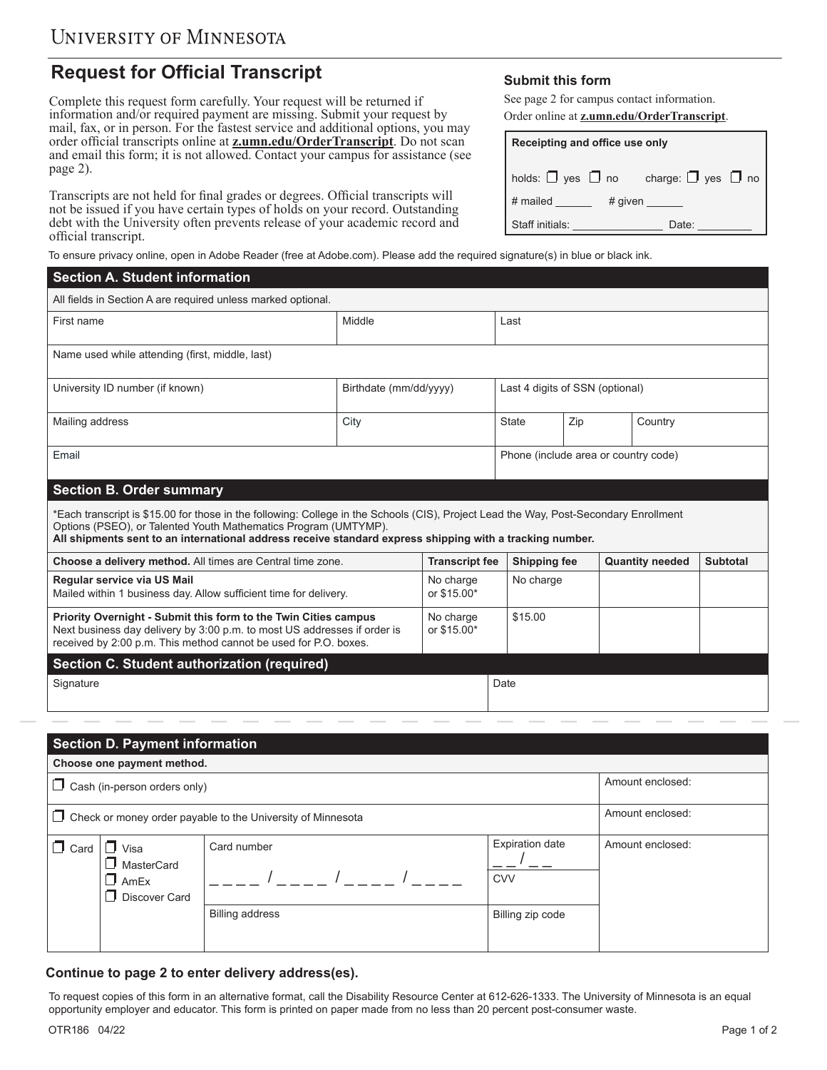## **Request for Official Transcript**

Complete this request form carefully. Your request will be returned if information and/or required payment are missing. Submit your request by mail, fax, or in person. For the fastest service and additional options, you may order official transcripts online at **[z.umn.edu/OrderTranscript](z.umn.edu/ordertranscript)**. Do not scan and email this form; it is not allowed. Contact your campus for assistance (see page 2).

Transcripts are not held for final grades or degrees. Official transcripts will not be issued if you have certain types of holds on your record. Outstanding debt with the University often prevents release of your academic record and official transcript.

## **Submit this form**

See page 2 for campus contact information. Order online at **[z.umn.edu/OrderTranscript](z.umn.edu/ordertranscript)**.

| Receipting and office use only                           |       |  |  |  |  |
|----------------------------------------------------------|-------|--|--|--|--|
| holds: $\Box$ yes $\Box$ no charge: $\Box$ yes $\Box$ no |       |  |  |  |  |
| # mailed<br># given $\_\_\_\_\_\$                        |       |  |  |  |  |
| Staff initials:                                          | Date: |  |  |  |  |

To ensure privacy online, open in Adobe Reader (free at Adobe.com). Please add the required signature(s) in blue or black ink.

| <b>Section A. Student information</b>                                                                                                                                                                                                                                                                                |                        |                          |                                     |                                      |                        |                 |  |
|----------------------------------------------------------------------------------------------------------------------------------------------------------------------------------------------------------------------------------------------------------------------------------------------------------------------|------------------------|--------------------------|-------------------------------------|--------------------------------------|------------------------|-----------------|--|
| All fields in Section A are required unless marked optional.                                                                                                                                                                                                                                                         |                        |                          |                                     |                                      |                        |                 |  |
| First name                                                                                                                                                                                                                                                                                                           | Middle                 |                          | Last                                |                                      |                        |                 |  |
| Name used while attending (first, middle, last)                                                                                                                                                                                                                                                                      |                        |                          |                                     |                                      |                        |                 |  |
| University ID number (if known)                                                                                                                                                                                                                                                                                      | Birthdate (mm/dd/vvvv) |                          | Last 4 digits of SSN (optional)     |                                      |                        |                 |  |
| Mailing address                                                                                                                                                                                                                                                                                                      | City                   |                          | <b>State</b>                        | Zip                                  |                        | Country         |  |
| Email                                                                                                                                                                                                                                                                                                                |                        |                          |                                     | Phone (include area or country code) |                        |                 |  |
| <b>Section B. Order summary</b>                                                                                                                                                                                                                                                                                      |                        |                          |                                     |                                      |                        |                 |  |
| *Each transcript is \$15.00 for those in the following: College in the Schools (CIS), Project Lead the Way, Post-Secondary Enrollment<br>Options (PSEO), or Talented Youth Mathematics Program (UMTYMP).<br>All shipments sent to an international address receive standard express shipping with a tracking number. |                        |                          |                                     |                                      |                        |                 |  |
| Choose a delivery method. All times are Central time zone.<br><b>Transcript fee</b>                                                                                                                                                                                                                                  |                        |                          | Shipping fee                        |                                      | <b>Quantity needed</b> | <b>Subtotal</b> |  |
| Regular service via US Mail<br>Mailed within 1 business day. Allow sufficient time for delivery.                                                                                                                                                                                                                     |                        | No charge<br>or \$15.00* | No charge                           |                                      |                        |                 |  |
| Priority Overnight - Submit this form to the Twin Cities campus<br>Next business day delivery by 3:00 p.m. to most US addresses if order is<br>received by 2:00 p.m. This method cannot be used for P.O. boxes.                                                                                                      |                        |                          | \$15.00<br>No charge<br>or \$15.00* |                                      |                        |                 |  |
| Section C. Student authorization (required)                                                                                                                                                                                                                                                                          |                        |                          |                                     |                                      |                        |                 |  |
| Signature                                                                                                                                                                                                                                                                                                            |                        |                          | Date                                |                                      |                        |                 |  |
|                                                                                                                                                                                                                                                                                                                      |                        |                          |                                     |                                      |                        |                 |  |
| <b>Section D. Payment information</b>                                                                                                                                                                                                                                                                                |                        |                          |                                     |                                      |                        |                 |  |
| Choose one payment method.                                                                                                                                                                                                                                                                                           |                        |                          |                                     |                                      |                        |                 |  |
| $\Box$ Cash (in-person orders only)                                                                                                                                                                                                                                                                                  |                        |                          |                                     |                                      | Amount enclosed:       |                 |  |
|                                                                                                                                                                                                                                                                                                                      |                        |                          |                                     |                                      | A secondo escalable de |                 |  |

|             | $\Box$ Check or money order payable to the University of Minnesota | Amount enclosed:       |                                      |                  |
|-------------|--------------------------------------------------------------------|------------------------|--------------------------------------|------------------|
| $\Box$ Card | Visa<br>MasterCard<br>$\Box$ AmEx<br>Discover Card                 | Card number            | <b>Expiration date</b><br><b>CVV</b> | Amount enclosed: |
|             |                                                                    | <b>Billing address</b> | Billing zip code                     |                  |

## **Continue to page 2 to enter delivery address(es).**

To request copies of this form in an alternative format, call the Disability Resource Center at 612-626-1333. The University of Minnesota is an equal opportunity employer and educator. This form is printed on paper made from no less than 20 percent post-consumer waste.